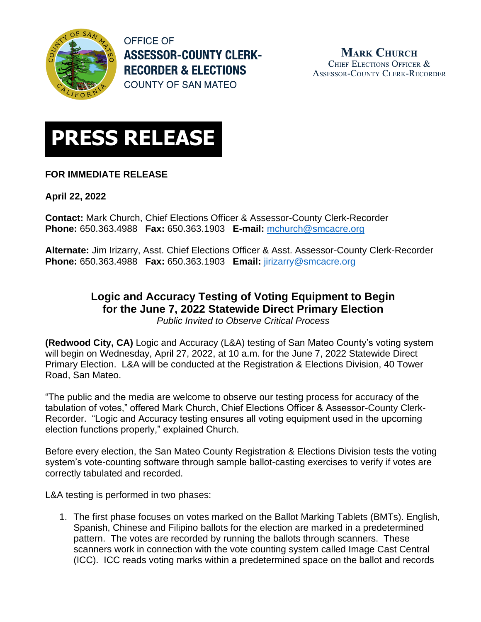

**OFFICE OF ASSESSOR-COUNTY CLERK-RECORDER & ELECTIONS COUNTY OF SAN MATEO** 

**MARK CHURCH** CHIEF ELECTIONS OFFICER & **ASSESSOR-COUNTY CLERK-RECORDER** 



## **FOR IMMEDIATE RELEASE**

**April 22, 2022**

**Contact:** Mark Church, Chief Elections Officer & Assessor-County Clerk-Recorder **Phone:** 650.363.4988 **Fax:** 650.363.1903 **E-mail:** [mchurch@smcacre.org](mailto:mchurch@smcacre.org)

**Alternate:** Jim Irizarry, Asst. Chief Elections Officer & Asst. Assessor-County Clerk-Recorder **Phone:** 650.363.4988 **Fax:** 650.363.1903 **Email:** [jirizarry@smcacre.org](mailto:jirizarry@smcacre.org)

## **Logic and Accuracy Testing of Voting Equipment to Begin for the June 7, 2022 Statewide Direct Primary Election** *Public Invited to Observe Critical Process*

**(Redwood City, CA)** Logic and Accuracy (L&A) testing of San Mateo County's voting system will begin on Wednesday, April 27, 2022, at 10 a.m. for the June 7, 2022 Statewide Direct Primary Election. L&A will be conducted at the Registration & Elections Division, 40 Tower Road, San Mateo.

"The public and the media are welcome to observe our testing process for accuracy of the tabulation of votes," offered Mark Church, Chief Elections Officer & Assessor-County Clerk-Recorder. "Logic and Accuracy testing ensures all voting equipment used in the upcoming election functions properly," explained Church.

Before every election, the San Mateo County Registration & Elections Division tests the voting system's vote-counting software through sample ballot-casting exercises to verify if votes are correctly tabulated and recorded.

L&A testing is performed in two phases:

1. The first phase focuses on votes marked on the Ballot Marking Tablets (BMTs). English, Spanish, Chinese and Filipino ballots for the election are marked in a predetermined pattern. The votes are recorded by running the ballots through scanners. These scanners work in connection with the vote counting system called Image Cast Central (ICC). ICC reads voting marks within a predetermined space on the ballot and records